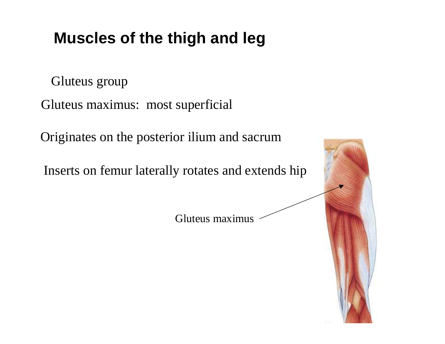Gluteus group

Gluteus maximus: most superficial

Originates on the posterior ilium and sacrum

Inserts on femur laterally rotates and extends hip

Gluteus maximus

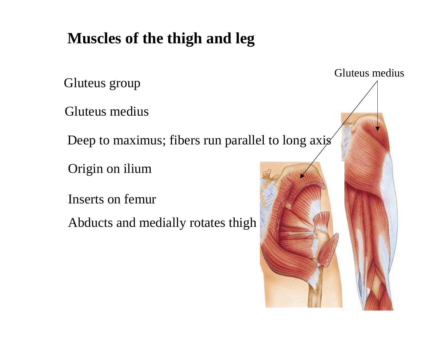Gluteus group

Gluteus medius

Deep to maximus; fibers run parallel to long axis

Origin on ilium

Inserts on femur

Abducts and medially rotates thigh

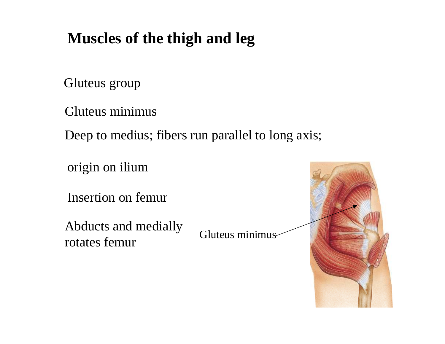Gluteus group

Gluteus minimus

Deep to medius; fibers run parallel to long axis;

origin on ilium

Insertion on femur

Abducts and medially rotates femur

Gluteus minimus

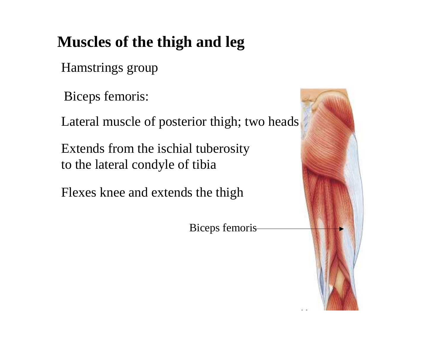Hamstrings group

Biceps femoris:

Lateral muscle of posterior thigh; two heads

Extends from the ischial tuberosity to the lateral condyle of tibia

Flexes knee and extends the thigh

Biceps femoris

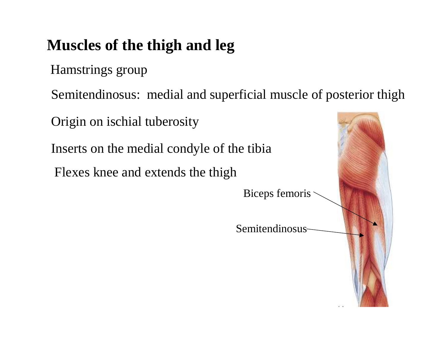Hamstrings group

Semitendinosus: medial and superficial muscle of posterior thigh

Origin on ischial tuberosity

Inserts on the medial condyle of the tibia

Flexes knee and extends the thigh

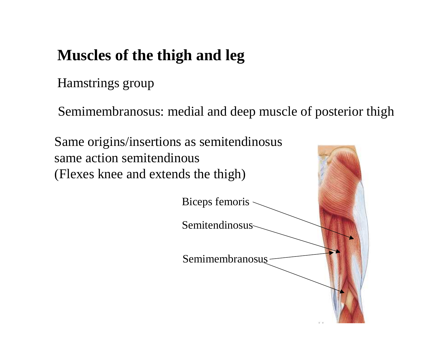Hamstrings group

Semimembranosus: medial and deep muscle of posterior thigh

Same origins/insertions as semitendinosus same action semitendinous (Flexes knee and extends the thigh)

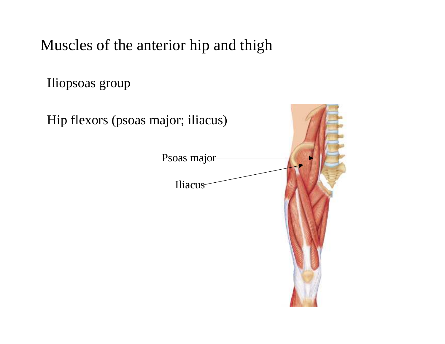Iliopsoas group

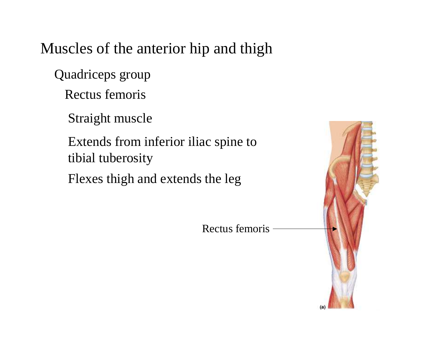Quadriceps group

Rectus femoris

Straight muscle

Extends from inferior iliac spine to tibial tuberosity

Flexes thigh and extends the leg

Rectus femoris

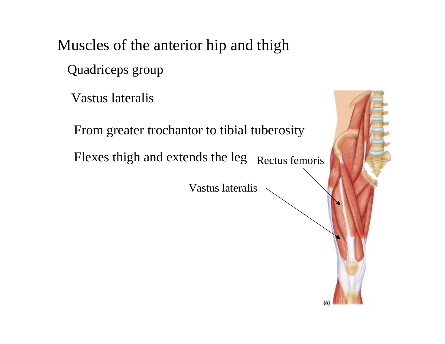Quadriceps group

Vastus lateralis

From greater trochantor to tibial tuberosity

Flexes thigh and extends the leg Rectus femoris

Vastus lateralis

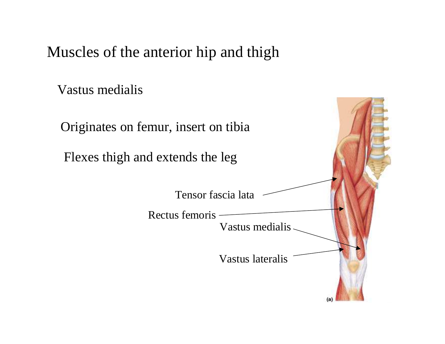Vastus medialis

Originates on femur, insert on tibia

Flexes thigh and extends the leg

Tensor fascia lata

Vastus medialis Rectus femoris Vastus lateralis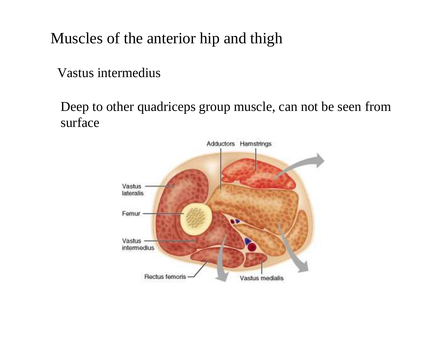Vastus intermedius

Deep to other quadriceps group muscle, can not be seen from surface

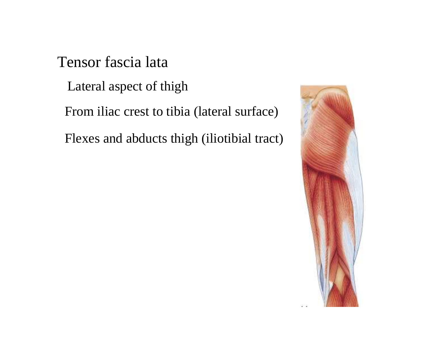Tensor fascia lata

Lateral aspec<sup>t</sup> of thigh

From iliac crest to tibia (lateral surface)

Flexes and abducts thigh (iliotibial tract)

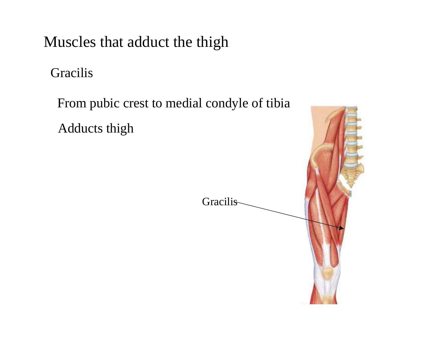Muscles that adduct the thigh

Gracilis

From pubic crest to medial condyle of tibia

Adducts thigh

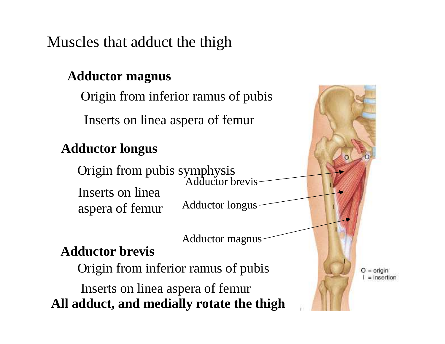Muscles that adduct the thigh

#### **Adductor magnus**

Origin from inferior ramus of pubis

Inserts on linea aspera of femur

#### **Adductor longus**

Adductor longus Adductor brevis Origin from pubis symphysis Inserts on linea aspera of femur

Adductor magnus

### **Adductor brevis**

Origin from inferior ramus of pubis

Inserts on linea aspera of femur **All adduct, and medially rotate the thigh**  $O = origin$  $=$  insertion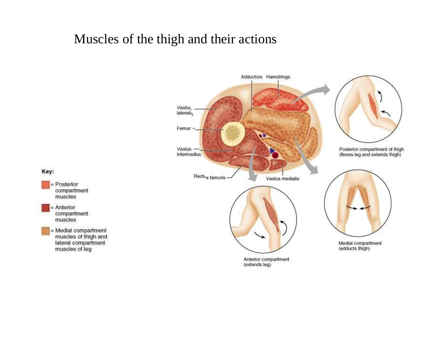#### Muscles of the thigh and their actions

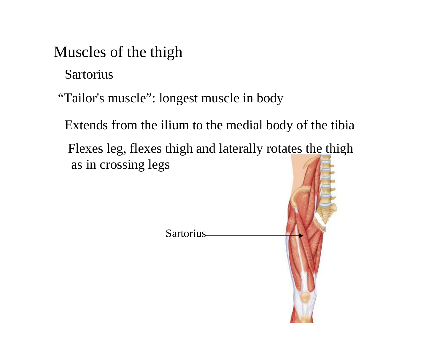### Muscles of the thigh

Sartorius

"Tailor's muscle": longest muscle in body

Extends from the ilium to the medial body of the tibia

Flexes leg, flexes thigh and laterally rotates the thigh as in crossing legs

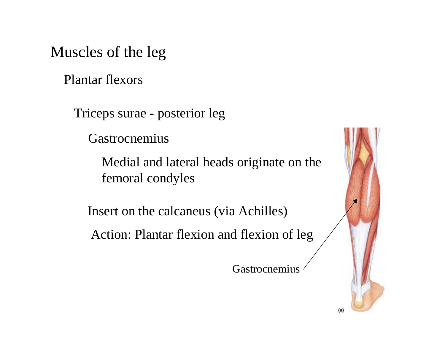Muscles of the leg

Plantar flexors

Triceps surae - posterior leg

Gastrocnemius

Medial and lateral heads originate on the femoral condyles

Insert on the calcaneus (via Achilles)

Action: Plantar flexion and flexion of leg

Gastrocnemius

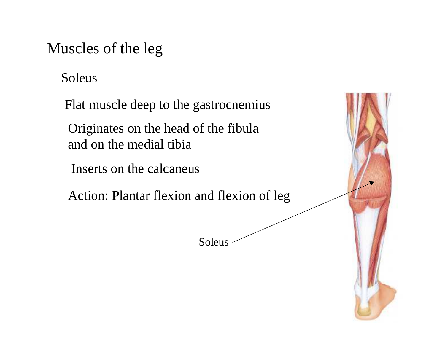### Muscles of the leg

Soleus

Flat muscle deep to the gastrocnemius

Originates on the head of the fibula and on the medial tibia

Inserts on the calcaneus

Action: Plantar flexion and flexion of leg

Soleus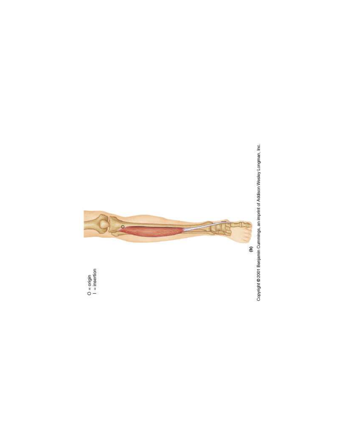

Copyright @ 2001 Benjamin Cummings, an imprint of Addison Wesley Longman, Inc.